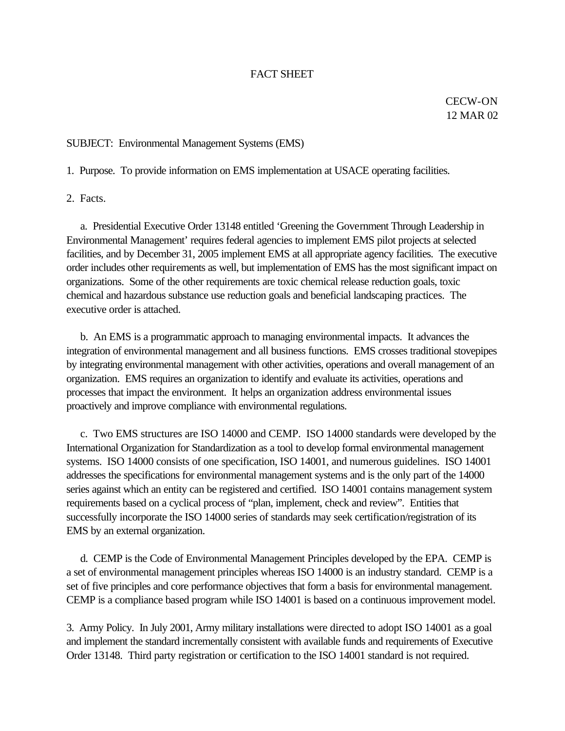## FACT SHEET

CECW-ON 12 MAR 02

## SUBJECT: Environmental Management Systems (EMS)

1. Purpose. To provide information on EMS implementation at USACE operating facilities.

2. Facts.

 a. Presidential Executive Order 13148 entitled 'Greening the Government Through Leadership in Environmental Management' requires federal agencies to implement EMS pilot projects at selected facilities, and by December 31, 2005 implement EMS at all appropriate agency facilities. The executive order includes other requirements as well, but implementation of EMS has the most significant impact on organizations. Some of the other requirements are toxic chemical release reduction goals, toxic chemical and hazardous substance use reduction goals and beneficial landscaping practices. The executive order is attached.

 b. An EMS is a programmatic approach to managing environmental impacts. It advances the integration of environmental management and all business functions. EMS crosses traditional stovepipes by integrating environmental management with other activities, operations and overall management of an organization. EMS requires an organization to identify and evaluate its activities, operations and processes that impact the environment. It helps an organization address environmental issues proactively and improve compliance with environmental regulations.

 c. Two EMS structures are ISO 14000 and CEMP. ISO 14000 standards were developed by the International Organization for Standardization as a tool to develop formal environmental management systems. ISO 14000 consists of one specification, ISO 14001, and numerous guidelines. ISO 14001 addresses the specifications for environmental management systems and is the only part of the 14000 series against which an entity can be registered and certified. ISO 14001 contains management system requirements based on a cyclical process of "plan, implement, check and review". Entities that successfully incorporate the ISO 14000 series of standards may seek certification/registration of its EMS by an external organization.

 d. CEMP is the Code of Environmental Management Principles developed by the EPA. CEMP is a set of environmental management principles whereas ISO 14000 is an industry standard. CEMP is a set of five principles and core performance objectives that form a basis for environmental management. CEMP is a compliance based program while ISO 14001 is based on a continuous improvement model.

3. Army Policy. In July 2001, Army military installations were directed to adopt ISO 14001 as a goal and implement the standard incrementally consistent with available funds and requirements of Executive Order 13148. Third party registration or certification to the ISO 14001 standard is not required.